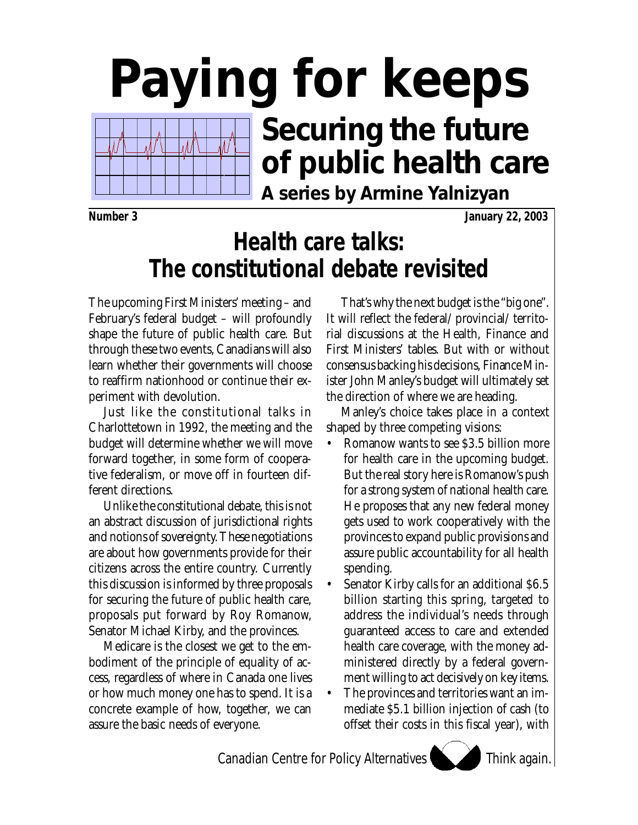# **Paying for keeps Securing the future** Ń **of public health care A series by Armine Yalnizyan**

**Number 3 January 22, 2003**

# **Health care talks: The constitutional debate revisited**

The upcoming First Ministers' meeting – and February's federal budget – will profoundly shape the future of public health care. But through these two events, Canadians will also learn whether their governments will choose to reaffirm nationhood or continue their experiment with devolution.

Just like the constitutional talks in Charlottetown in 1992, the meeting and the budget will determine whether we will move forward together, in some form of cooperative federalism, or move off in fourteen different directions.

Unlike the constitutional debate, this is not an abstract discussion of jurisdictional rights and notions of sovereignty. These negotiations are about how governments provide for their citizens across the entire country. Currently this discussion is informed by three proposals for securing the future of public health care, proposals put forward by Roy Romanow, Senator Michael Kirby, and the provinces.

Medicare is the closest we get to the embodiment of the principle of equality of access, regardless of where in Canada one lives or how much money one has to spend. It is a concrete example of how, together, we can assure the basic needs of everyone.

That's why the next budget is the "big one". It will reflect the federal/ provincial/ territorial discussions at the Health, Finance and First Ministers' tables. But with or without consensus backing his decisions, Finance Minister John Manley's budget will ultimately set the direction of where we are heading.

Manley's choice takes place in a context shaped by three competing visions:

- Romanow wants to see \$3.5 billion more for health care in the upcoming budget. But the real story here is Romanow's push for a strong system of national health care. He proposes that any new federal money gets used to work cooperatively with the provinces to expand public provisions and assure public accountability for all health spending.
- Senator Kirby calls for an additional \$6.5 billion starting this spring, targeted to address the individual's needs through guaranteed access to care and extended health care coverage, with the money administered directly by a federal government willing to act decisively on key items.
- The provinces and territories want an immediate \$5.1 billion injection of cash (to offset their costs in this fiscal year), with

Think again.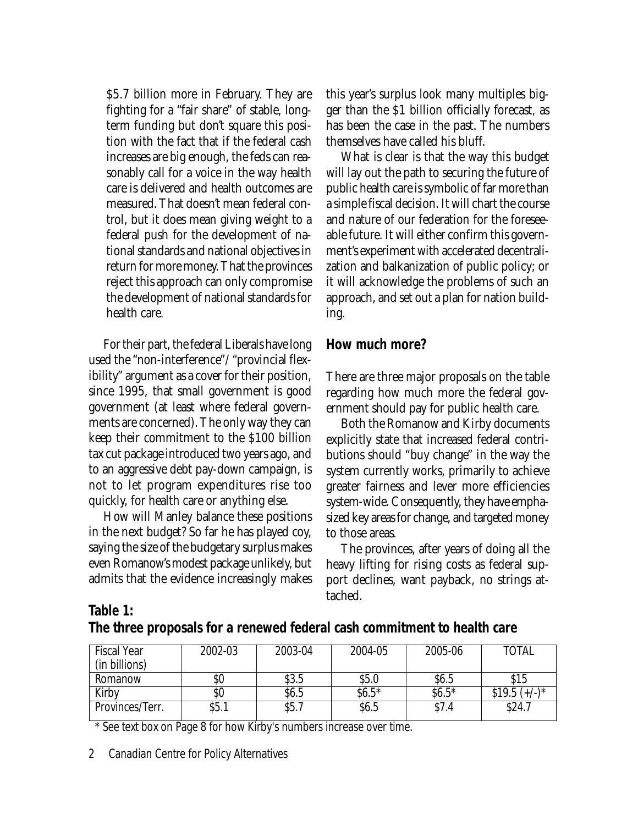\$5.7 billion more in February. They are fighting for a "fair share" of stable, longterm funding but don't square this position with the fact that if the federal cash increases are big enough, the feds can reasonably call for a voice in the way health care is delivered and health outcomes are measured. That doesn't mean federal control, but it does mean giving weight to a federal push for the development of national standards and national objectives in return for more money. That the provinces reject this approach can only compromise the development of national standards for health care.

For their part, the federal Liberals have long used the "non-interference"/ "provincial flexibility" argument as a cover for their position, since 1995, that small government is good government (at least where federal governments are concerned). The only way they can keep their commitment to the \$100 billion tax cut package introduced two years ago, and to an aggressive debt pay-down campaign, is not to let program expenditures rise too quickly, for health care or anything else.

How will Manley balance these positions in the next budget? So far he has played coy, saying the size of the budgetary surplus makes even Romanow's modest package unlikely, but admits that the evidence increasingly makes this year's surplus look many multiples bigger than the \$1 billion officially forecast, as has been the case in the past. The numbers themselves have called his bluff.

What is clear is that the way this budget will lay out the path to securing the future of public health care is symbolic of far more than a simple fiscal decision. It will chart the course and nature of our federation for the foreseeable future. It will either confirm this government's experiment with accelerated decentralization and balkanization of public policy; or it will acknowledge the problems of such an approach, and set out a plan for nation building.

### **How much more?**

There are three major proposals on the table regarding how much more the federal government should pay for public health care.

Both the Romanow and Kirby documents explicitly state that increased federal contributions should "buy change" in the way the system currently works, primarily to achieve greater fairness and lever more efficiencies system-wide. Consequently, they have emphasized key areas for change, and targeted money to those areas.

The provinces, after years of doing all the heavy lifting for rising costs as federal support declines, want payback, no strings attached.

#### **Table 1:**

**The three proposals for a renewed federal cash commitment to health care**

| <b>Fiscal Year</b> | 2002-03 | 2003-04 | 2004-05 | 2005-06 | <b>TOTAL</b>    |
|--------------------|---------|---------|---------|---------|-----------------|
| (in billions)      |         |         |         |         |                 |
| Romanow            | \$0     | \$3.5   | \$5.0   | \$6.5   | \$15            |
| Kirby              | \$0     | \$6.5   | $$6.5*$ | $$6.5*$ | $$19.5 (+/-)^*$ |
| Provinces/Terr.    | \$5.1   | \$5.7   | \$6.5   | \$7.4   | \$24.7          |

\* See text box on Page 8 for how Kirby's numbers increase over time.

2 Canadian Centre for Policy Alternatives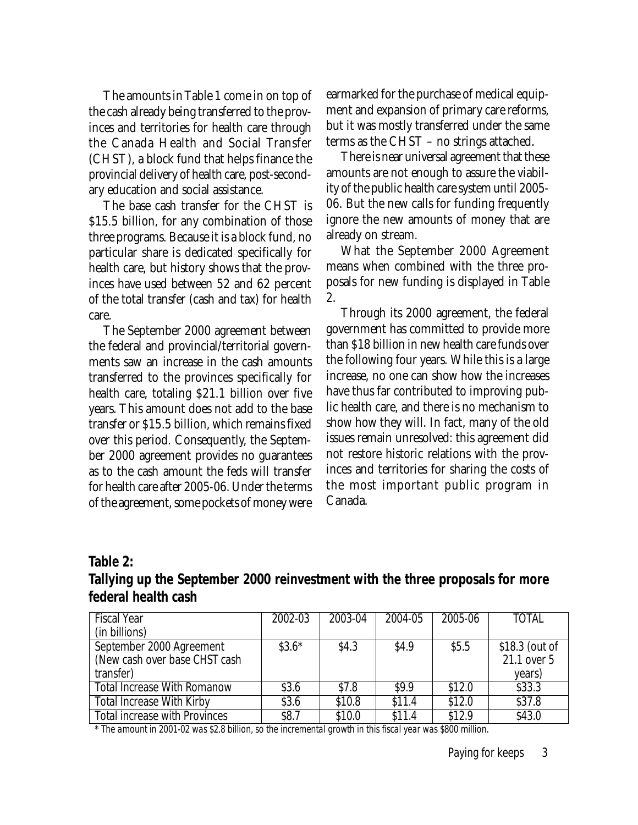The amounts in Table 1 come in on top of the cash already being transferred to the provinces and territories for health care through the Canada Health and Social Transfer (CHST), a block fund that helps finance the provincial delivery of health care, post-secondary education and social assistance.

The base cash transfer for the CHST is \$15.5 billion, for any combination of those three programs. Because it is a block fund, no particular share is dedicated specifically for health care, but history shows that the provinces have used between 52 and 62 percent of the total transfer (cash and tax) for health care.

The September 2000 agreement between the federal and provincial/territorial governments saw an increase in the cash amounts transferred to the provinces specifically for health care, totaling \$21.1 billion over five years. This amount does not add to the base transfer or \$15.5 billion, which remains fixed over this period. Consequently, the September 2000 agreement provides no guarantees as to the cash amount the feds will transfer for health care after 2005-06. Under the terms of the agreement, some pockets of money were earmarked for the purchase of medical equipment and expansion of primary care reforms, but it was mostly transferred under the same terms as the CHST – no strings attached.

There is near universal agreement that these amounts are not enough to assure the viability of the public health care system until 2005- 06. But the new calls for funding frequently ignore the new amounts of money that are already on stream.

What the September 2000 Agreement means when combined with the three proposals for new funding is displayed in Table 2.

Through its 2000 agreement, the federal government has committed to provide more than \$18 billion in new health care funds over the following four years. While this is a large increase, no one can show how the increases have thus far contributed to improving public health care, and there is no mechanism to show how they will. In fact, many of the old issues remain unresolved: this agreement did not restore historic relations with the provinces and territories for sharing the costs of the most important public program in Canada.

#### **Table 2:**

| .                                                                             |  |
|-------------------------------------------------------------------------------|--|
| Tallying up the September 2000 reinvestment with the three proposals for more |  |
| federal health cash                                                           |  |

| <b>Fiscal Year</b>                   | 2002-03 | 2003-04 | 2004-05 | 2005-06 | <b>TOTAL</b>   |
|--------------------------------------|---------|---------|---------|---------|----------------|
| (in billions)                        |         |         |         |         |                |
| September 2000 Agreement             | $$3.6*$ | \$4.3   | \$4.9   | \$5.5   | \$18.3 (out of |
| (New cash over base CHST cash        |         |         |         |         | 21.1 over 5    |
| transfer)                            |         |         |         |         | years)         |
| <b>Total Increase With Romanow</b>   | \$3.6   | \$7.8   | \$9.9   | \$12.0  | \$33.3         |
| <b>Total Increase With Kirby</b>     | \$3.6   | \$10.8  | \$11.4  | \$12.0  | \$37.8         |
| <b>Total increase with Provinces</b> | \$8.7   | \$10.0  | \$11.4  | \$12.9  | \$43.0         |

*\* The amount in 2001-02 was \$2.8 billion, so the incremental growth in this fiscal year was \$800 million.*

Paying for keeps3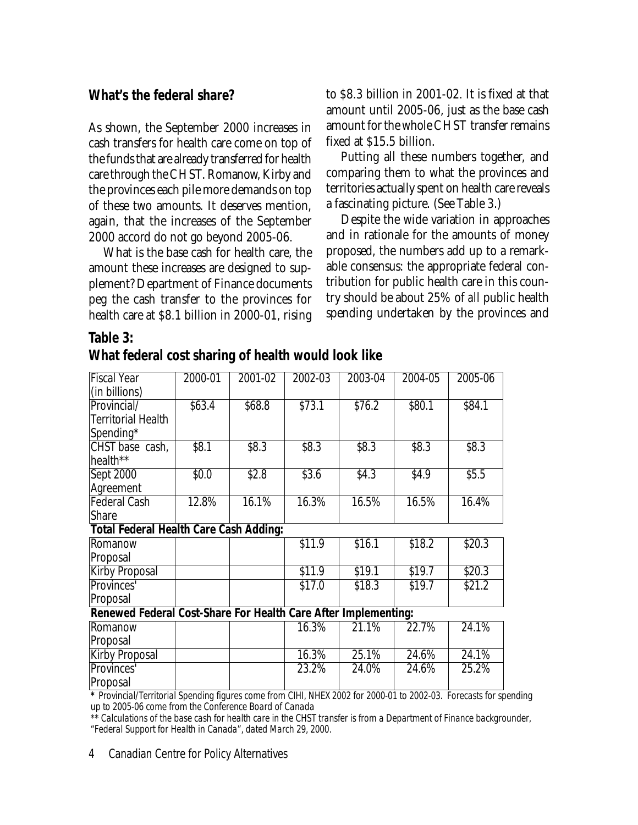#### **What's the federal share?**

**Table 3:**

As shown, the September 2000 increases in cash transfers for health care come on top of the funds that are already transferred for health care through the CHST. Romanow, Kirby and the provinces each pile more demands on top of these two amounts. It deserves mention, again, that the increases of the September 2000 accord do not go beyond 2005-06.

What is the base cash for health care, the amount these increases are designed to supplement? Department of Finance documents peg the cash transfer to the provinces for health care at \$8.1 billion in 2000-01, rising to \$8.3 billion in 2001-02. It is fixed at that amount until 2005-06, just as the base cash amount for the whole CHST transfer remains fixed at \$15.5 billion.

Putting all these numbers together, and comparing them to what the provinces and territories actually spent on health care reveals a fascinating picture. (See Table 3.)

Despite the wide variation in approaches and in rationale for the amounts of money proposed, the numbers add up to a remarkable consensus: the appropriate federal contribution for public health care in this country should be about 25% of *all* public health spending undertaken by the provinces and

| <b>Fiscal Year</b>                                                                                            | 2000-01 | 2001-02 | 2002-03 | 2003-04 | $2004 - 05$ | 2005-06 |  |
|---------------------------------------------------------------------------------------------------------------|---------|---------|---------|---------|-------------|---------|--|
| (in billions)                                                                                                 |         |         |         |         |             |         |  |
| Provincial/                                                                                                   | \$63.4  | \$68.8  | \$73.1  | \$76.2  | \$80.1      | \$84.1  |  |
| <b>Territorial Health</b>                                                                                     |         |         |         |         |             |         |  |
| Spending*                                                                                                     |         |         |         |         |             |         |  |
| CHST base cash,                                                                                               | \$8.1   | \$8.3   | \$8.3   | \$8.3   | \$8.3       | \$8.3   |  |
| health**                                                                                                      |         |         |         |         |             |         |  |
| <b>Sept 2000</b>                                                                                              | \$0.0   | \$2.8   | \$3.6   | \$4.3   | \$4.9       | \$5.5   |  |
| Agreement                                                                                                     |         |         |         |         |             |         |  |
| <b>Federal Cash</b>                                                                                           | 12.8%   | 16.1%   | 16.3%   | 16.5%   | 16.5%       | 16.4%   |  |
| Share                                                                                                         |         |         |         |         |             |         |  |
| <b>Total Federal Health Care Cash Adding:</b>                                                                 |         |         |         |         |             |         |  |
| Romanow                                                                                                       |         |         | \$11.9  | \$16.1  | \$18.2      | \$20.3  |  |
| Proposal                                                                                                      |         |         |         |         |             |         |  |
| <b>Kirby Proposal</b>                                                                                         |         |         | \$11.9  | \$19.1  | \$19.7      | \$20.3  |  |
| Provinces'                                                                                                    |         |         | \$17.0  | \$18.3  | \$19.7      | \$21.2  |  |
| Proposal                                                                                                      |         |         |         |         |             |         |  |
| Renewed Federal Cost-Share For Health Care After Implementing:                                                |         |         |         |         |             |         |  |
| Romanow                                                                                                       |         |         | 16.3%   | 21.1%   | 22.7%       | 24.1%   |  |
| Proposal                                                                                                      |         |         |         |         |             |         |  |
| <b>Kirby Proposal</b>                                                                                         |         |         | 16.3%   | 25.1%   | 24.6%       | 24.1%   |  |
| Provinces'                                                                                                    |         |         | 23.2%   | 24.0%   | 24.6%       | 25.2%   |  |
| Proposal                                                                                                      |         |         |         |         |             |         |  |
| * Drawinsial/Territorial Coanding figures same from CILIL ALLEV 2002 for 2000 01 to 2002 02. Forecasts for an |         |         |         |         |             |         |  |

*\* Provincial/Territorial Spending figures come from CIHI, NHEX 2002 for 2000-01 to 2002-03. Forecasts for spending up to 2005-06 come from the Conference Board of Canada*

*\*\* Calculations of the base cash for health care in the CHST transfer is from a Department of Finance backgrounder, "Federal Support for Health in Canada", dated March 29, 2000*.

4 Canadian Centre for Policy Alternatives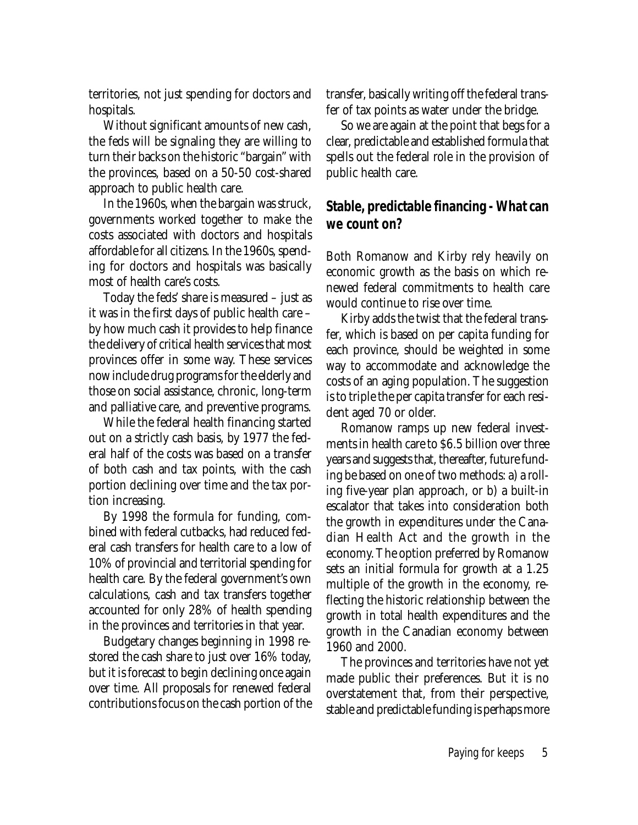territories, not just spending for doctors and hospitals.

Without significant amounts of new cash, the feds will be signaling they are willing to turn their backs on the historic "bargain" with the provinces, based on a 50-50 cost-shared approach to public health care.

In the 1960s, when the bargain was struck, governments worked together to make the costs associated with doctors and hospitals affordable for all citizens. In the 1960s, spending for doctors and hospitals was basically most of health care's costs.

Today the feds' share is measured – just as it was in the first days of public health care – by how much cash it provides to help finance the delivery of critical health services that most provinces offer in some way. These services now include drug programs for the elderly and those on social assistance, chronic, long-term and palliative care, and preventive programs.

While the federal health financing started out on a strictly cash basis, by 1977 the federal half of the costs was based on a transfer of both cash and tax points, with the cash portion declining over time and the tax portion increasing.

By 1998 the formula for funding, combined with federal cutbacks, had reduced federal cash transfers for health care to a low of 10% of provincial and territorial spending for health care. By the federal government's own calculations, cash and tax transfers together accounted for only 28% of health spending in the provinces and territories in that year.

Budgetary changes beginning in 1998 restored the cash share to just over 16% today, but it is forecast to begin declining once again over time. All proposals for renewed federal contributions focus on the cash portion of the transfer, basically writing off the federal transfer of tax points as water under the bridge.

So we are again at the point that begs for a clear, predictable and established formula that spells out the federal role in the provision of public health care.

## **Stable, predictable financing - What can we count on?**

Both Romanow and Kirby rely heavily on economic growth as the basis on which renewed federal commitments to health care would continue to rise over time.

Kirby adds the twist that the federal transfer, which is based on per capita funding for each province, should be weighted in some way to accommodate and acknowledge the costs of an aging population. The suggestion is to triple the per capita transfer for each resident aged 70 or older.

Romanow ramps up new federal investments in health care to \$6.5 billion over three years and suggests that, thereafter, future funding be based on one of two methods: a) a rolling five-year plan approach, or b) a built-in escalator that takes into consideration both the growth in expenditures under the Canadian Health Act and the growth in the economy. The option preferred by Romanow sets an initial formula for growth at a 1.25 multiple of the growth in the economy, reflecting the historic relationship between the growth in total health expenditures and the growth in the Canadian economy between 1960 and 2000.

The provinces and territories have not yet made public their preferences. But it is no overstatement that, from their perspective, stable and predictable funding is perhaps more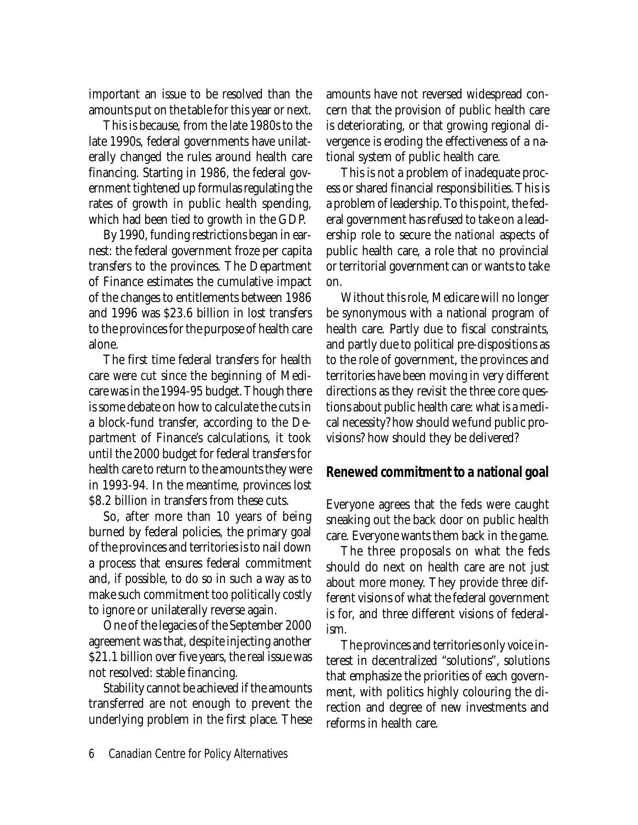important an issue to be resolved than the amounts put on the table for this year or next.

This is because, from the late 1980s to the late 1990s, federal governments have unilaterally changed the rules around health care financing. Starting in 1986, the federal government tightened up formulas regulating the rates of growth in public health spending, which had been tied to growth in the GDP.

By 1990, funding restrictions began in earnest: the federal government froze per capita transfers to the provinces. The Department of Finance estimates the cumulative impact of the changes to entitlements between 1986 and 1996 was \$23.6 billion in lost transfers to the provinces for the purpose of health care alone.

The first time federal transfers for health care were cut since the beginning of Medicare was in the 1994-95 budget. Though there is some debate on how to calculate the cuts in a block-fund transfer, according to the Department of Finance's calculations, it took until the 2000 budget for federal transfers for health care to return to the amounts they were in 1993-94. In the meantime, provinces lost \$8.2 billion in transfers from these cuts.

So, after more than 10 years of being burned by federal policies, the primary goal of the provinces and territories is to nail down a process that ensures federal commitment and, if possible, to do so in such a way as to make such commitment too politically costly to ignore or unilaterally reverse again.

One of the legacies of the September 2000 agreement was that, despite injecting another \$21.1 billion over five years, the real issue was not resolved: stable financing.

Stability cannot be achieved if the amounts transferred are not enough to prevent the underlying problem in the first place. These amounts have not reversed widespread concern that the provision of public health care is deteriorating, or that growing regional divergence is eroding the effectiveness of a national system of public health care.

This is not a problem of inadequate process or shared financial responsibilities. This is a problem of leadership. To this point, the federal government has refused to take on a leadership role to secure the *national* aspects of public health care, a role that no provincial or territorial government can or wants to take on.

Without this role, Medicare will no longer be synonymous with a national program of health care. Partly due to fiscal constraints, and partly due to political pre-dispositions as to the role of government, the provinces and territories have been moving in very different directions as they revisit the three core questions about public health care: what is a medical necessity? how should we fund public provisions? how should they be delivered?

#### **Renewed commitment to a national goal**

Everyone agrees that the feds were caught sneaking out the back door on public health care. Everyone wants them back in the game.

The three proposals on what the feds should do next on health care are not just about more money. They provide three different visions of what the federal government is for, and three different visions of federalism.

The provinces and territories only voice interest in decentralized "solutions", solutions that emphasize the priorities of each government, with politics highly colouring the direction and degree of new investments and reforms in health care.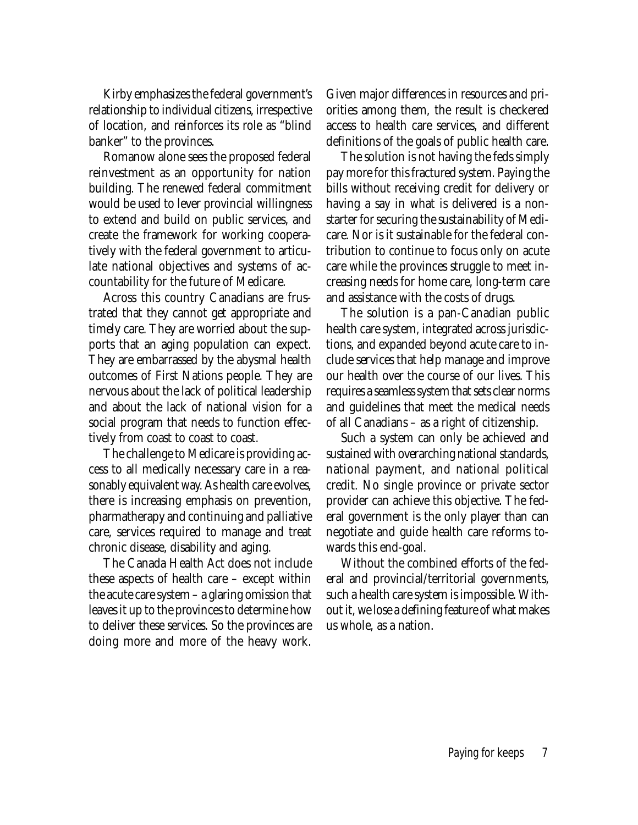Kirby emphasizes the federal government's relationship to individual citizens, irrespective of location, and reinforces its role as "blind banker" to the provinces.

Romanow alone sees the proposed federal reinvestment as an opportunity for nation building. The renewed federal commitment would be used to lever provincial willingness to extend and build on public services, and create the framework for working cooperatively with the federal government to articulate national objectives and systems of accountability for the future of Medicare.

Across this country Canadians are frustrated that they cannot get appropriate and timely care. They are worried about the supports that an aging population can expect. They are embarrassed by the abysmal health outcomes of First Nations people. They are nervous about the lack of political leadership and about the lack of national vision for a social program that needs to function effectively from coast to coast to coast.

The challenge to Medicare is providing access to all medically necessary care in a reasonably equivalent way. As health care evolves, there is increasing emphasis on prevention, pharmatherapy and continuing and palliative care, services required to manage and treat chronic disease, disability and aging.

The Canada Health Act does not include these aspects of health care – except within the acute care system – a glaring omission that leaves it up to the provinces to determine how to deliver these services. So the provinces are doing more and more of the heavy work.

Given major differences in resources and priorities among them, the result is checkered access to health care services, and different definitions of the goals of public health care.

The solution is not having the feds simply pay more for this fractured system. Paying the bills without receiving credit for delivery or having a say in what is delivered is a nonstarter for securing the sustainability of Medicare. Nor is it sustainable for the federal contribution to continue to focus only on acute care while the provinces struggle to meet increasing needs for home care, long-term care and assistance with the costs of drugs.

The solution is a pan-Canadian public health care system, integrated across jurisdictions, and expanded beyond acute care to include services that help manage and improve our health over the course of our lives. This requires a seamless system that sets clear norms and guidelines that meet the medical needs of all Canadians – as a right of citizenship.

Such a system can only be achieved and sustained with overarching national standards, national payment, and national political credit. No single province or private sector provider can achieve this objective. The federal government is the only player than can negotiate and guide health care reforms towards this end-goal.

Without the combined efforts of the federal and provincial/territorial governments, such a health care system is impossible. Without it, we lose a defining feature of what makes us whole, as a nation.